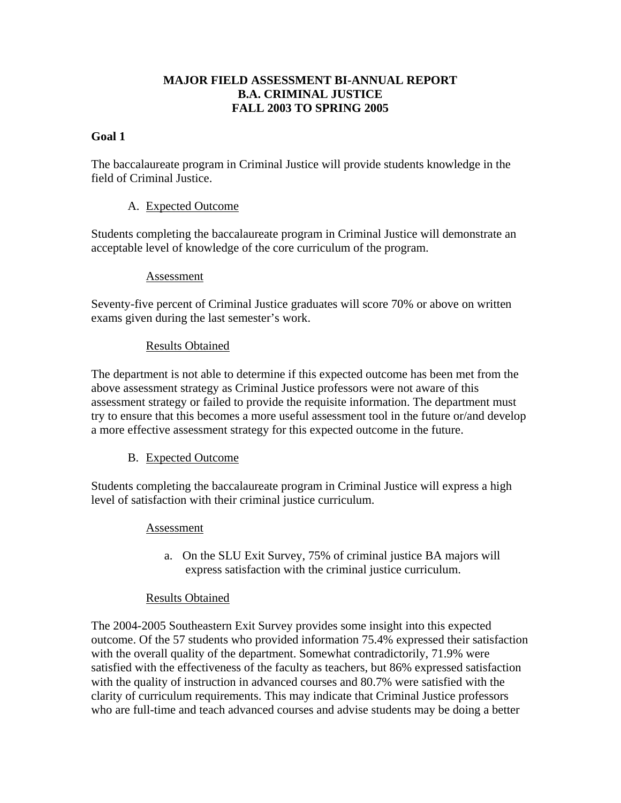## **MAJOR FIELD ASSESSMENT BI-ANNUAL REPORT B.A. CRIMINAL JUSTICE FALL 2003 TO SPRING 2005**

## **Goal 1**

The baccalaureate program in Criminal Justice will provide students knowledge in the field of Criminal Justice.

## A. Expected Outcome

Students completing the baccalaureate program in Criminal Justice will demonstrate an acceptable level of knowledge of the core curriculum of the program.

#### Assessment

Seventy-five percent of Criminal Justice graduates will score 70% or above on written exams given during the last semester's work.

### Results Obtained

The department is not able to determine if this expected outcome has been met from the above assessment strategy as Criminal Justice professors were not aware of this assessment strategy or failed to provide the requisite information. The department must try to ensure that this becomes a more useful assessment tool in the future or/and develop a more effective assessment strategy for this expected outcome in the future.

# B. Expected Outcome

Students completing the baccalaureate program in Criminal Justice will express a high level of satisfaction with their criminal justice curriculum.

#### Assessment

a. On the SLU Exit Survey, 75% of criminal justice BA majors will express satisfaction with the criminal justice curriculum.

#### Results Obtained

The 2004-2005 Southeastern Exit Survey provides some insight into this expected outcome. Of the 57 students who provided information 75.4% expressed their satisfaction with the overall quality of the department. Somewhat contradictorily, 71.9% were satisfied with the effectiveness of the faculty as teachers, but 86% expressed satisfaction with the quality of instruction in advanced courses and 80.7% were satisfied with the clarity of curriculum requirements. This may indicate that Criminal Justice professors who are full-time and teach advanced courses and advise students may be doing a better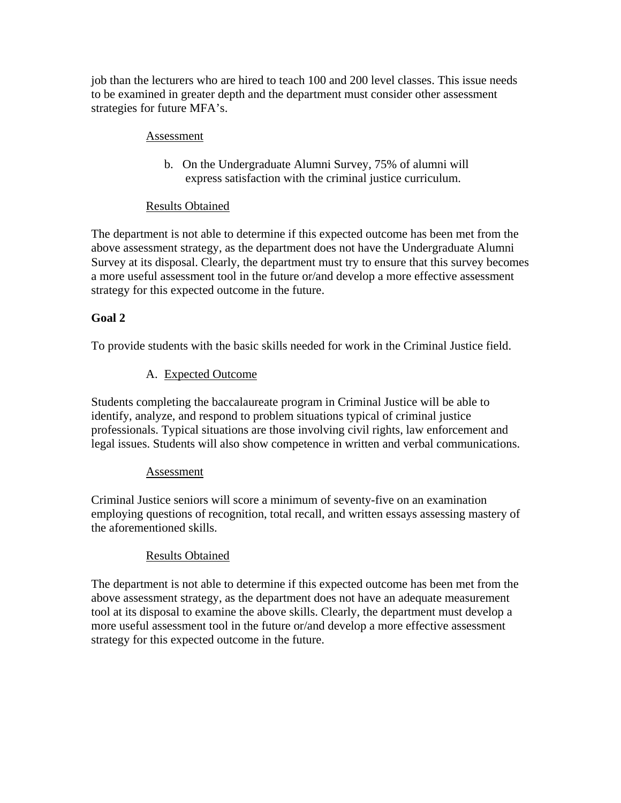job than the lecturers who are hired to teach 100 and 200 level classes. This issue needs to be examined in greater depth and the department must consider other assessment strategies for future MFA's.

### Assessment

b. On the Undergraduate Alumni Survey, 75% of alumni will express satisfaction with the criminal justice curriculum.

# Results Obtained

The department is not able to determine if this expected outcome has been met from the above assessment strategy, as the department does not have the Undergraduate Alumni Survey at its disposal. Clearly, the department must try to ensure that this survey becomes a more useful assessment tool in the future or/and develop a more effective assessment strategy for this expected outcome in the future.

# **Goal 2**

To provide students with the basic skills needed for work in the Criminal Justice field.

# A. Expected Outcome

Students completing the baccalaureate program in Criminal Justice will be able to identify, analyze, and respond to problem situations typical of criminal justice professionals. Typical situations are those involving civil rights, law enforcement and legal issues. Students will also show competence in written and verbal communications.

# Assessment

Criminal Justice seniors will score a minimum of seventy-five on an examination employing questions of recognition, total recall, and written essays assessing mastery of the aforementioned skills.

# Results Obtained

The department is not able to determine if this expected outcome has been met from the above assessment strategy, as the department does not have an adequate measurement tool at its disposal to examine the above skills. Clearly, the department must develop a more useful assessment tool in the future or/and develop a more effective assessment strategy for this expected outcome in the future.